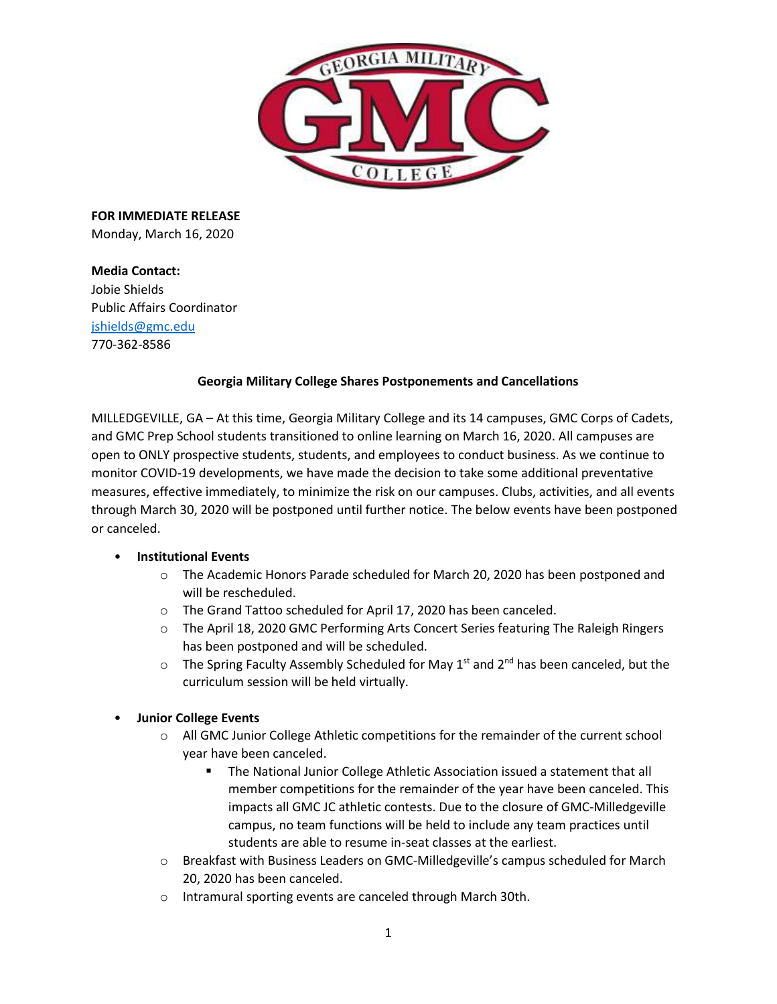

**FOR IMMEDIATE RELEASE**  Monday, March 16, 2020

**Media Contact:**  Jobie Shields Public Affairs Coordinator [jshields@gmc.edu](mailto:jshields@gmc.edu) 770-362-8586

### **Georgia Military College Shares Postponements and Cancellations**

MILLEDGEVILLE, GA – At this time, Georgia Military College and its 14 campuses, GMC Corps of Cadets, and GMC Prep School students transitioned to online learning on March 16, 2020. All campuses are open to ONLY prospective students, students, and employees to conduct business. As we continue to monitor COVID-19 developments, we have made the decision to take some additional preventative measures, effective immediately, to minimize the risk on our campuses. Clubs, activities, and all events through March 30, 2020 will be postponed until further notice. The below events have been postponed or canceled.

# • **Institutional Events**

- o The Academic Honors Parade scheduled for March 20, 2020 has been postponed and will be rescheduled.
- o The Grand Tattoo scheduled for April 17, 2020 has been canceled.
- o The April 18, 2020 GMC Performing Arts Concert Series featuring The Raleigh Ringers has been postponed and will be scheduled.
- $\circ$  The Spring Faculty Assembly Scheduled for May 1<sup>st</sup> and 2<sup>nd</sup> has been canceled, but the curriculum session will be held virtually.

# • **Junior College Events**

- o All GMC Junior College Athletic competitions for the remainder of the current school year have been canceled.
	- The National Junior College Athletic Association issued a statement that all member competitions for the remainder of the year have been canceled. This impacts all GMC JC athletic contests. Due to the closure of GMC-Milledgeville campus, no team functions will be held to include any team practices until students are able to resume in-seat classes at the earliest.
- o Breakfast with Business Leaders on GMC-Milledgeville's campus scheduled for March 20, 2020 has been canceled.
- o Intramural sporting events are canceled through March 30th.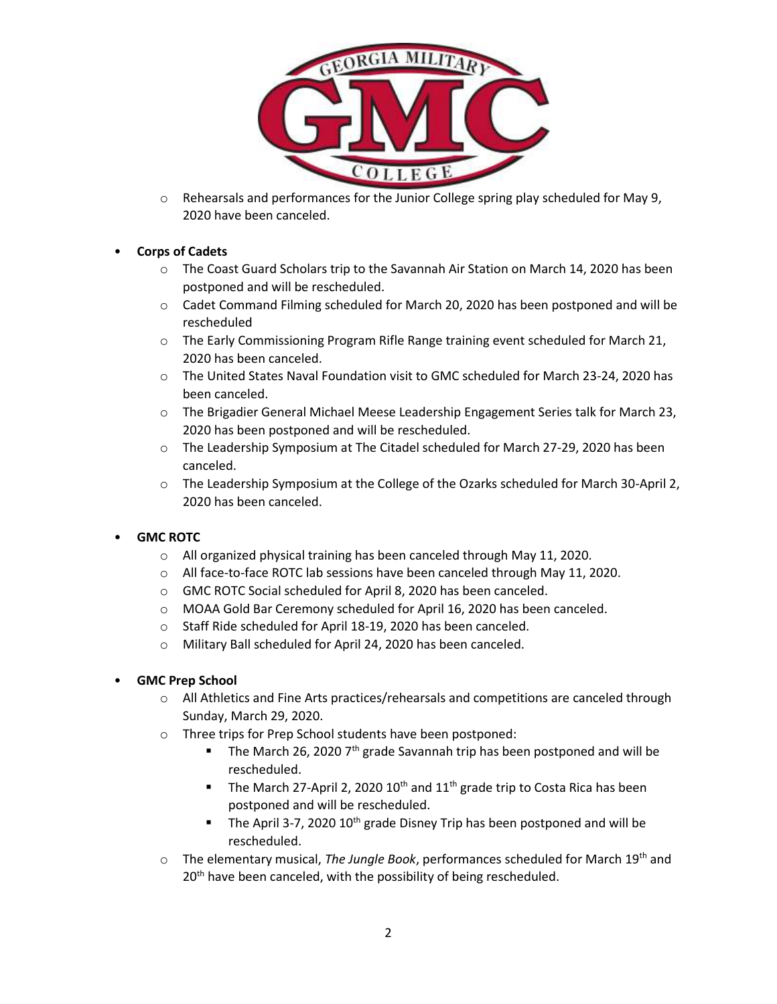

o Rehearsals and performances for the Junior College spring play scheduled for May 9, 2020 have been canceled.

# • **Corps of Cadets**

- o The Coast Guard Scholars trip to the Savannah Air Station on March 14, 2020 has been postponed and will be rescheduled.
- o Cadet Command Filming scheduled for March 20, 2020 has been postponed and will be rescheduled
- o The Early Commissioning Program Rifle Range training event scheduled for March 21, 2020 has been canceled.
- o The United States Naval Foundation visit to GMC scheduled for March 23-24, 2020 has been canceled.
- o The Brigadier General Michael Meese Leadership Engagement Series talk for March 23, 2020 has been postponed and will be rescheduled.
- o The Leadership Symposium at The Citadel scheduled for March 27-29, 2020 has been canceled.
- o The Leadership Symposium at the College of the Ozarks scheduled for March 30-April 2, 2020 has been canceled.

# • **GMC ROTC**

- o All organized physical training has been canceled through May 11, 2020.
- o All face-to-face ROTC lab sessions have been canceled through May 11, 2020.
- o GMC ROTC Social scheduled for April 8, 2020 has been canceled.
- o MOAA Gold Bar Ceremony scheduled for April 16, 2020 has been canceled.
- o Staff Ride scheduled for April 18-19, 2020 has been canceled.
- o Military Ball scheduled for April 24, 2020 has been canceled.

### • **GMC Prep School**

- $\circ$  All Athletics and Fine Arts practices/rehearsals and competitions are canceled through Sunday, March 29, 2020.
- o Three trips for Prep School students have been postponed:
	- The March 26, 2020  $7<sup>th</sup>$  grade Savannah trip has been postponed and will be rescheduled.
	- The March 27-April 2, 2020  $10^{th}$  and  $11^{th}$  grade trip to Costa Rica has been postponed and will be rescheduled.
	- The April 3-7, 2020 10<sup>th</sup> grade Disney Trip has been postponed and will be rescheduled.
- $\circ$  The elementary musical, *The Jungle Book*, performances scheduled for March 19<sup>th</sup> and 20<sup>th</sup> have been canceled, with the possibility of being rescheduled.